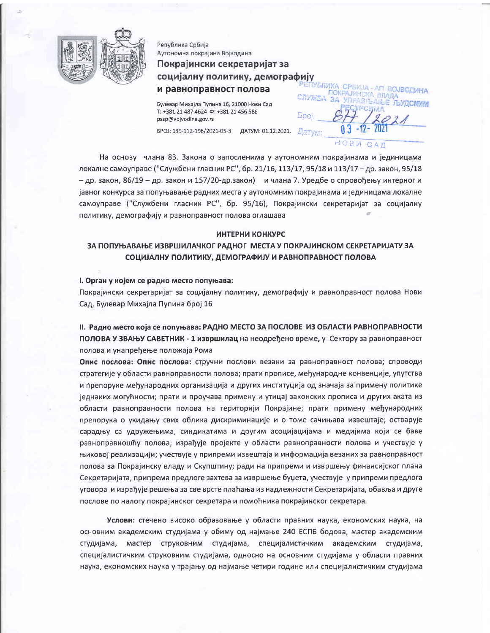

Република Србија Аутономна покрајина Војводина Покрајински секретаријат за социјалну политику, демографију и равноправност полова

Булевар Михаіла Пупина 16, 21000 Нови Сад T: +381 21 487 4624  $\Phi$ : +381 21 456 586 pssp@vojvodina.gov.rs БРОЈ: 139-112-196/2021-05-3 ДАТУМ: 01.12.2021.

ПУБЛИКА СРБИЈА - АП ВОЈВОДИНА 户门入户 СЛУЖБА 2 CHWA Spoj: Датум: HOBN

На основу члана 83. Закона о запосленима у аутономним покрајинама и јединицама локалне самоуправе ("Службени гласник РС", бр. 21/16, 113/17, 95/18 и 113/17 - др. закон, 95/18 - др. закон, 86/19 - др. закон и 157/20-др.закон) и члана 7. Уредбе о спровођењу интерног и јавног конкурса за попуњавање радних места у аутономним покрајинама и јединицама локалне самоуправе ("Службени гласник РС", бр. 95/16), Покрајински секретаријат за социјалну политику, демографију и равноправност полова оглашава

## ИНТЕРНИ КОНКУРС

# ЗА ПОПУЊАВАЊЕ ИЗВРШИЛАЧКОГ РАДНОГ МЕСТА У ПОКРАЈИНСКОМ СЕКРЕТАРИЈАТУ ЗА СОЦИЈАЛНУ ПОЛИТИКУ, ДЕМОГРАФИЈУ И РАВНОПРАВНОСТ ПОЛОВА

## І. Орган у којем се радно место попуњава:

Покрајински секретаријат за социјалну политику, демографију и равноправност полова Нови Сад, Булевар Михајла Пупина број 16

II. Радно место која се попуњава: РАДНО МЕСТО ЗА ПОСЛОВЕ ИЗ ОБЛАСТИ РАВНОПРАВНОСТИ ПОЛОВА У ЗВАЊУ САВЕТНИК - 1 извршилац на неодређено време, у Сектору за равноправност полова и унапређење положаја Рома

Опис послова: Опис послова: стручни послови везани за равноправност полова; спроводи стратегије у области равноправности полова; прати прописе, међународне конвенције, упутства и препоруке међународних организација и других институција од значаја за примену политике једнаких могућности; прати и проучава примену и утицај законских прописа и других аката из области равноправности полова на територији Покрајине; прати примену међународних препорука о укидању свих облика дискриминације и о томе сачињава извештаје; остварује сарадњу са удружењима, синдикатима и другим асоцијацијама и медијима који се баве равноправношћу полова; израђује пројекте у области равноправности полова и учествује у њиховој реализацији; учествује у припреми извештаја и информација везаних за равноправност полова за Покрајинску владу и Скупштину; ради на припреми и извршењу финансијског плана Секретаријата, припрема предлоге захтева за извршење буџета, учествује у припреми предлога уговора и израђује решења за све врсте плаћања из надлежности Секретаријата, обавља и друге послове по налогу покрајинског секретара и помоћника покрајинског секретара.

Услови: стечено високо образовање у области правних наука, економских наука, на основним академским студијама у обиму од најмање 240 ЕСПБ бодова, мастер академским мастер струковним студијама, специјалистичким академским студијама, студијама, специјалистичким струковним студијама, односно на основним студијама у области правних наука, економских наука у трајању од најмање четири године или специјалистичким студијама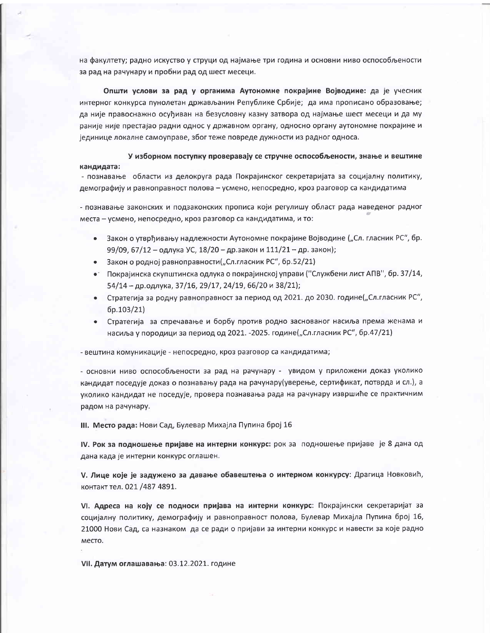на факултету; радно искуство у струци од најмање три година и основни ниво оспособљености за рад на рачунару и пробни рад од шест месеци.

Општи услови за рад у органима Аутономне покрајине Војводине: да је учесник интерног конкурса пунолетан држављанин Републике Србије; да има прописано образовање; да није правоснажно осуђиван на безусловну казну затвора од најмање шест месеци и да му раније није престајао радни однос у државном органу, односно органу аутономне покрајине и јединице локалне самоуправе, због теже повреде дужности из радног односа.

# У изборном поступку проверавају се стручне оспособљености, знање и вештине кандидата:

- познавање области из делокруга рада Покрајинског секретаријата за социјалну политику, демографију и равноправност полова - усмено, непосредно, кроз разговор са кандидатима

- познавање законских и подзаконских прописа који регулишу област рада наведеног радног места – усмено, непосредно, кроз разговор са кандидатима, и то:

- Закон о утврђивању надлежности Аутономне покрајине Војводине ("Сл. гласник РС", бр. 99/09, 67/12 - одлука УС, 18/20 - др.закон и 111/21 - др. закон);
- Закон о родној равноправности("Сл.гласник РС", бр.52/21)
- Покрајинска скупштинска одлука о покрајинској управи ("Службени лист АПВ", бр. 37/14, 54/14 - др. одлука, 37/16, 29/17, 24/19, 66/20 и 38/21);
- Стратегија за родну равноправност за период од 2021. до 2030. године("Сл.гласник РС",  $6p.103/21$
- Стратегија за спречавање и борбу против родно заснованог насиља према женама и насиља у породици за период од 2021. - 2025. године ("Сл.гласник РС", бр.47/21)

- вештина комуникације - непосредно, кроз разговор са кандидатима;

- основни ниво оспособљености за рад на рачунару - увидом у приложени доказ уколико кандидат поседује доказ о познавању рада на рачунару(уверење, сертификат, потврда и сл.), а уколико кандидат не поседује, провера познавања рада на рачунару извршиће се практичним радом на рачунару.

III. Место рада: Нови Сад, Булевар Михајла Пупина број 16

IV. Рок за подношење пријаве на интерни конкурс: рок за подношење пријаве је 8 дана од дана када је интерни конкурс оглашен.

V. Лице које је задужено за давање обавештења о интерном конкурсу: Драгица Новковић, контакт тел. 021 /487 4891.

VI. Адреса на коју се подноси пријава на интерни конкурс: Покрајински секретаријат за социјалну политику, демографију и равноправност полова, Булевар Михајла Пупина број 16, 21000 Нови Сад, са назнаком да се ради о пријави за интерни конкурс и навести за које радно место.

VII. Датум оглашавања: 03.12.2021. године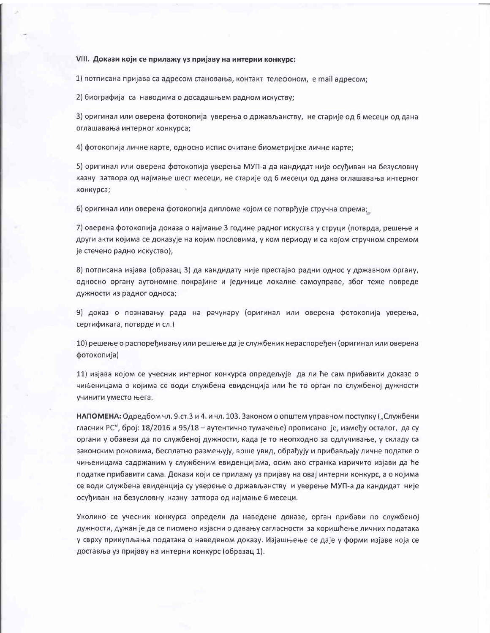### VIII. Докази који се прилажу уз пријаву на интерни конкурс:

1) потписана пријава са адресом становања, контакт телефоном, е mail адресом;

2) биографија са наводима о досадашњем радном искуству;

3) оригинал или оверена фотокопија уверења о држављанству, не старије од 6 месеци од дана оглашавања интерног конкурса;

4) фотокопија личне карте, односно испис очитане биометријске личне карте;

5) оригинал или оверена фотокопија уверења МУП-а да кандидат није осуђиван на безусловну казну затвора од најмање шест месеци, не старије од 6 месеци од дана оглашавања интерног конкурса;

6) оригинал или оверена фотокопија дипломе којом се потврђује стручна спрема;

7) оверена фотокопија доказа о најмање 3 године радног искуства у струци (потврда, решење и други акти којима се доказује на којим пословима, у ком периоду и са којом стручном спремом је стечено радно искуство),

8) потписана изјава (образац 3) да кандидату није престајао радни однос у државном органу, односно органу аутономне покрајине и јединице локалне самоуправе, због теже повреде дужности из радног односа;

9) доказ о познавању рада на рачунару (оригинал или оверена фотокопија уверења, сертификата, потврде и сл.)

10) решење о распоређивању или решење да је службеник нераспоређен (оригинал или оверена фотокопија)

11) изјава којом се учесник интерног конкурса опредељује да ли ће сам прибавити доказе о чињеницама о којима се води службена евиденција или ће то орган по службеној дужности учинити уместо њега.

НАПОМЕНА: Одредбом чл. 9.ст.3 и 4. и чл. 103. Законом о општем управном поступку ("Службени гласник РС", број: 18/2016 и 95/18 - аутентично тумачење) прописано је, између осталог, да су органи у обавези да по службеној дужности, када је то неопходно за одлучивање, у складу са законским роковима, бесплатно размењују, врше увид, обрађују и прибављају личне податке о чињеницама садржаним у службеним евиденцијама, осим ако странка изричито изјави да ће податке прибавити сама. Докази који се прилажу уз пријаву на овај интерни конкурс, а о којима се води службена евиденција су уверење о држављанству и уверење МУП-а да кандидат није осуђиван на безусловну казну затвора од најмање 6 месеци.

Уколико се учесник конкурса определи да наведене доказе, орган прибави по службеној дужности, дужан је да се писмено изјасни о давању сагласности за коришћење личних података у сврху прикупљања података о наведеном доказу. Изјашњење се даје у форми изјаве која се доставља уз пријаву на интерни конкурс (образац 1).